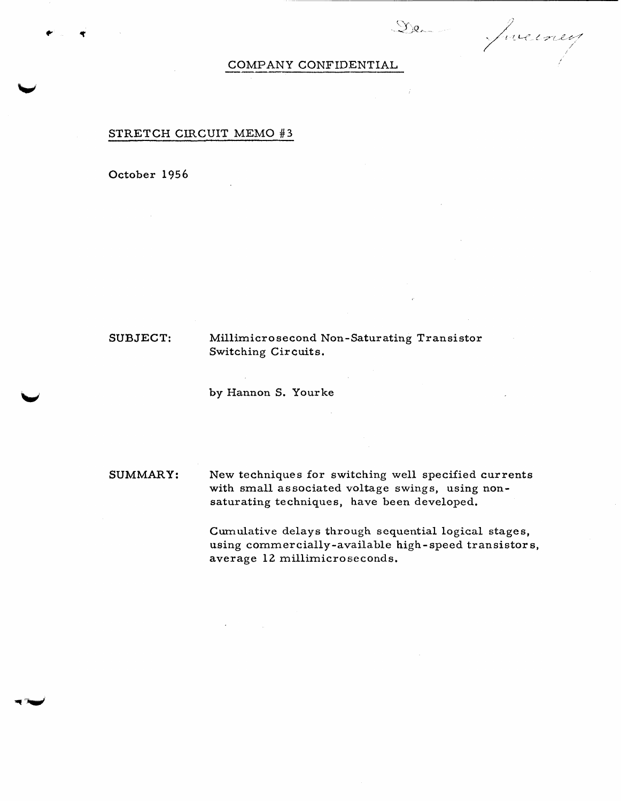De Jueiney

## STRETCH CIRCUIT MEMO **#3**

October 1956

*P* 

**SUBJECT:** Millirnicro second **Non**-Saturating Transistor Switching Circuits,

by Hannon S. Yourke

**SUMMARY: New** techniques for switching well specified currents with small **associated voltage** swings, using nonsaturating techniques, **have** been **developed.** 

> Cumulative **delays** through sequential **logical stages,**  using commercially-available high-speed transistors, **average** 12 millirnicroseconds.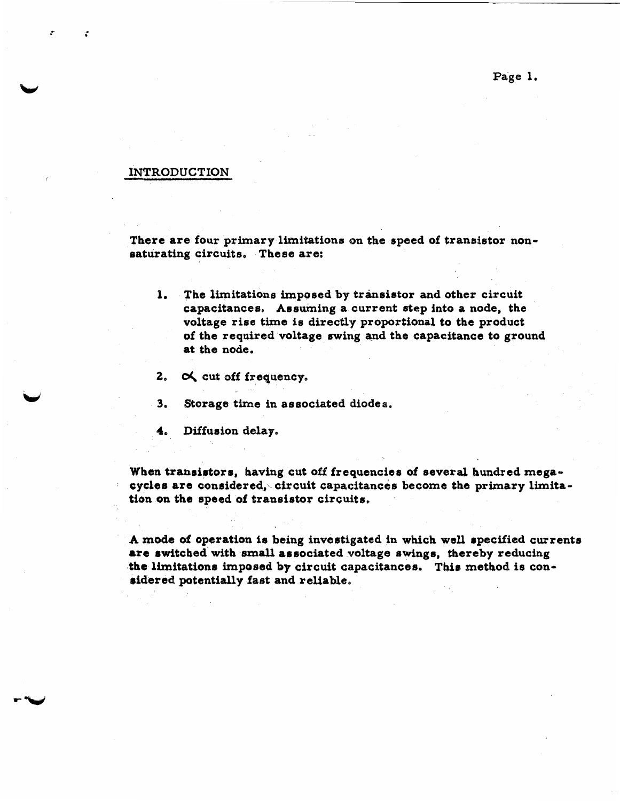#### **INTRODUCTION**

 $\cdot$ 

There are four primary limitations on the speed of transistor non**saturating circuits, These are:** <sup>I</sup>

- 1. The limitations imposed by transistor and other circuit capacitances. Assuming a current step into a node, the **voltage** rise **time 18 directky proportional to the product of the required voltage swing a\_ndthe capacitance to ground at the node,**
- 2. A cut off frequency.
- Storage time in associated diodes.  $3<sub>n</sub>$
- $\clubsuit$ Diffusion delay.

When transistors, having cut off frequencies of several hundred megacycles are considered, circuit capacitances become the primary limita**tion on the epaad of txmeistor circuits,** 

**A mod0 a€operation is being fnventigatcd in** which **well rpecified cuprentas**  *&re* **#witched\*with sma associated voltage 8wixbg8, thereby reducing**  the limitations imposed by circuit capacitances. This method is con**ridared potentially fast and reliable,** 

**Page 1.**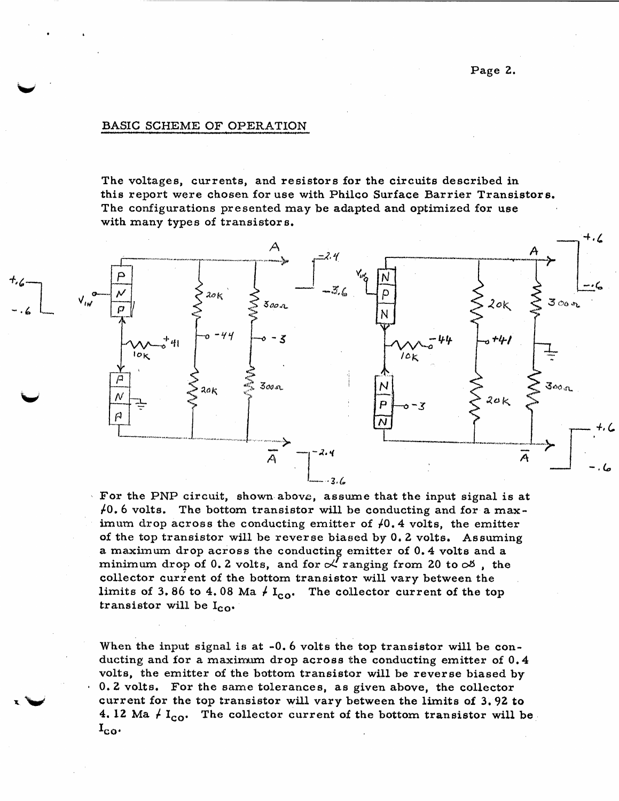#### **BASIC SCHEME OF OPERATION**

*b* 

**The vdtagea, currents, and resistors for the circuits described in this report were chosen** for **use with Phidco Surface Barrier Transistore. The configurations presented may be adapted and optimized for use with many types of transistor S.** 



\ **Far the PNP circuit, shown above, assume that the input signal is at**  *6* **volts.** The **battarn transistor will be conducting and far a** maximum drop across the conducting emitter of  $\varphi$ 0.4 volts, the emitter **of** the lop **transistor will be reverse biaued by Oe 2 volts. Assuming <sup>a</sup>**rnaxknm drop **across the conductinF** cmitter **of 0.4 Volt8 and <sup>a</sup> minimum** drop of 0.2 volts, and for  $\alpha'$  ranging from 20 to  $\alpha$ <sup>*g*</sup>, the **collector current of the bottom transistor will vary between the** limits of 3.86 to 4.08 Ma  $\neq I_{co}$ . The collector current of the top transistor will be  $I_{CO}$ .

When the input signal is at -0.6 volts the top transistor will be con**ducting and** for **a maximum** drop **across the conducting emitter of 0.4 volta, the emitter of the** bottom **transistor will be reverse biased by 0.2 volts.** For the same tolerances, as given above, the collector **current for the** top **transistor** will **vary between the limits of 3e92** *to*  **4.12 Ma**  $\neq I_{co}$ . The collector current of the bottom transistor will be  $\mathbf{I}_{\mathbf{CO}}$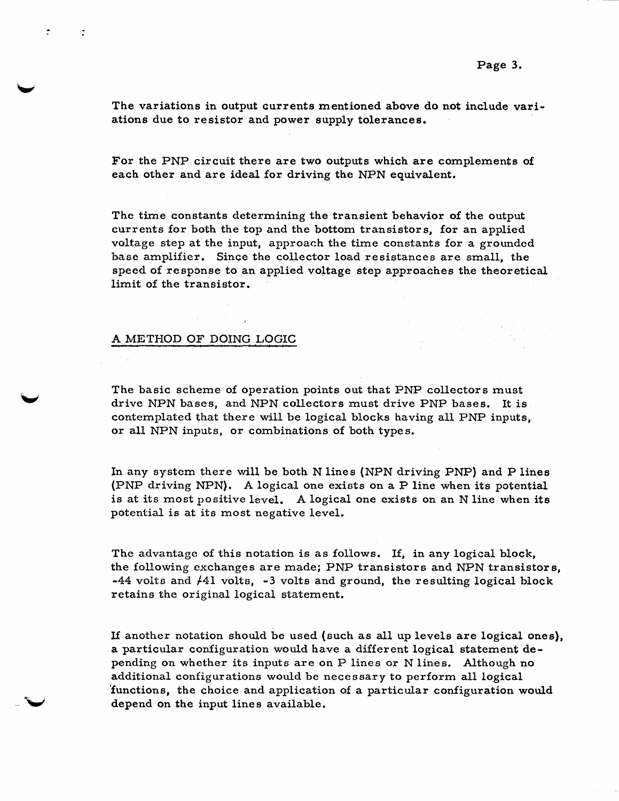**The** variations in output currents mentioned **above** do *not* include **vari**ations due *to* resistor **and** power supply tolerances.

**For** the PNP circuit there **are** two outputs which **are** complements **of each** other and are ideal **for** driving **the:** NPN equivalent.

The **time constants** determining the transient **behavior of** the output currents for **both the** top and **the** bottom transistors, for **an** applied voltage step at the input, **approach** the time constants **for** a grounded **base** amplifier. Since the **collector** load resistances **are small,** the **speed** of response to **an** applied **voltage** step approaches the theoretical, limit of **the** transistor.

#### **A** METHOD **OF** DOING LOGIC

 $\ddot{\phantom{1}}$ 

 $\bullet$ 

**The basic scheme of operation** points out **that** PNP collectors must drive NPN **bases,** and NPN collectors must drive PNP **bases.** It is **contemplated that there** will be logical **blocks** having **all PNP** inpute;, **or all** NPN inputs, or combinations *of* 'bath types.

In any system **there** will be **both** N lines (NPN driving PNP) and P lines (PNP driving NPN). A logical one exists on a P line when its potential is at its most positive level. A logical one exists on an N line when its potential **is at** its **most** negative **level.** 

**The** advantage *of* this notation **is as fdlows.** If, in any logical **block, the following** exchanges **are made;** PNI? transistors and **WN** transistors, **-44** volts and k41 volts, -3 **volts and** ground, **the resulting** logical **block**  retains the original **logical** statement,

If another notation should be used (such as all up levels are logical ones), **a** particular configuration **would have a** different logical statement **de**pending on **whether** its input6 **are** on P **lines or** N lines. Although no additional configurations **would** be necessary *to* perform all logical 'functions, the choice and application **of a** particular configuration **would**  depend **on** the input lines available,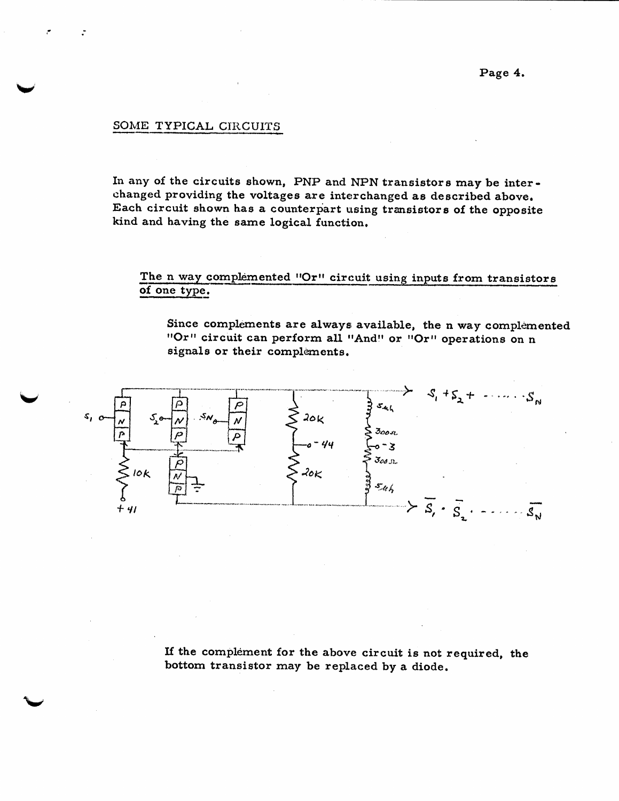#### SOME TYPICAL CIRCUITS

,\*

**In any of the circuits shown, PNP and NPN txaneistors may be interchanged providing the voltages are interchanged as described above. Each circuit shown has a counterpart using transistors of the opposite kind and having the same logical function,** 

# The **n** way complemented **'Or''** circuit using inputs from transistors of one type.

**Since complements are always available, the n way complemented circuit can perform all ttAndttor WrtI operations on n signals or their complements.** 



**If the complement for the above circuit is** not **required, the bottom transistor may be replaced by a diode.**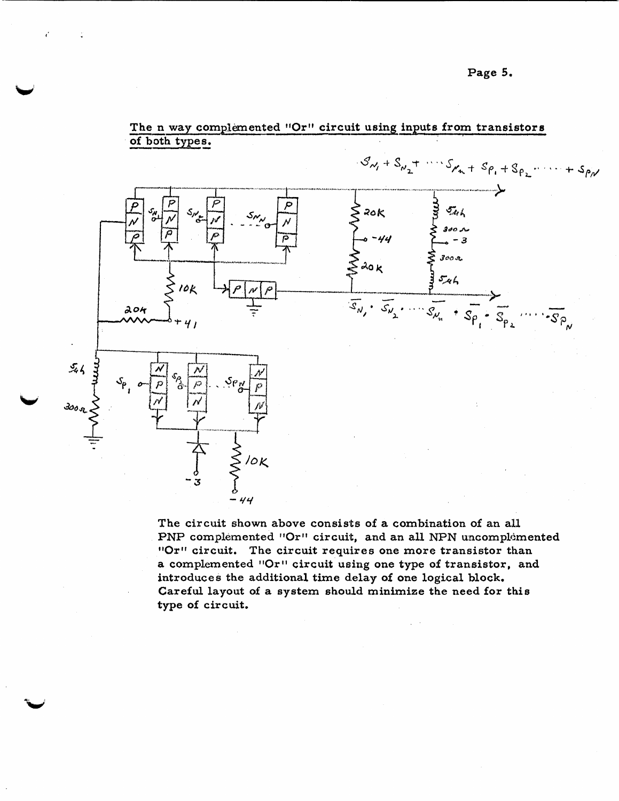

 $\frac{\text{The n}}{\text{of both}}$ The<br>of bo The **n** way complemented "Or" circuit using inputs from transistors of both types.

**The circuit shown above consists of a combination of an a11**  PNP complemented "Or" circuit, and an all NPN uncomplemented **''Or'' circuit.** The circuit requires one more transistor than a complemented "Or" circuit using one type of transistor, and **introduces the additional time d.elay of one logical block, Careful layout of a system should minimize the need for this type of circuit.**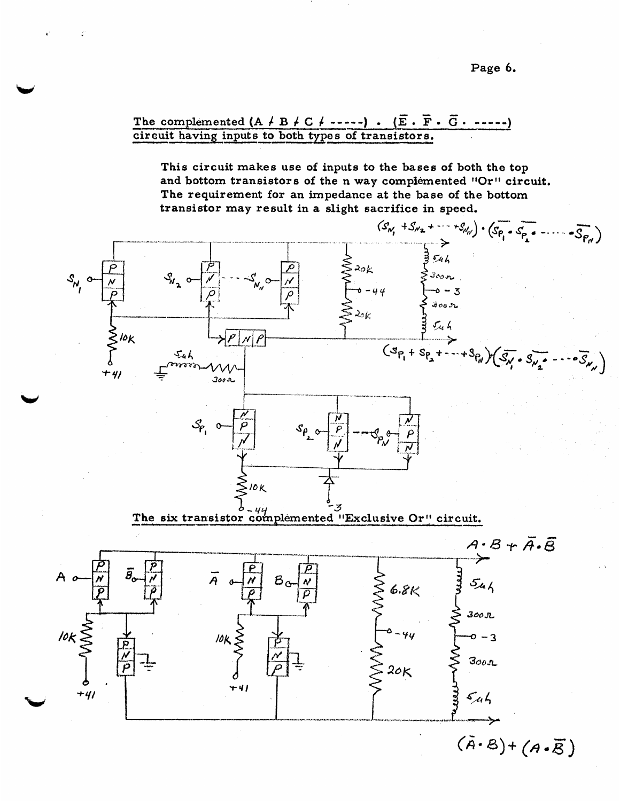**Page** *6.* 

 $\overline{F}$   $\overline{F}$   $\overline{F}$   $\overline{G}$   $\overline{G}$ The complemented  $(A \nmid B \nmid C \nmid --- )$ .<br>
circuit having inputs to both types of tra<br>
This circuit makes use of inputs to The complemented  $(A \nmid B \nmid C \nmid \cdots)$  .  $(\overline{E} \cdot \overline{F} \cdot \overline{G} \cdot \cdots)$ **circuit having inputs to both types of transistors.** 

**This circuit makes use of inputs** *to.* **the bases of both the top**  and bottom transistors of the n way complemented "Or" circuit. The requirement for an impedance at the base of the bottom **transistor may result in a slight sacrifice in speed,** 

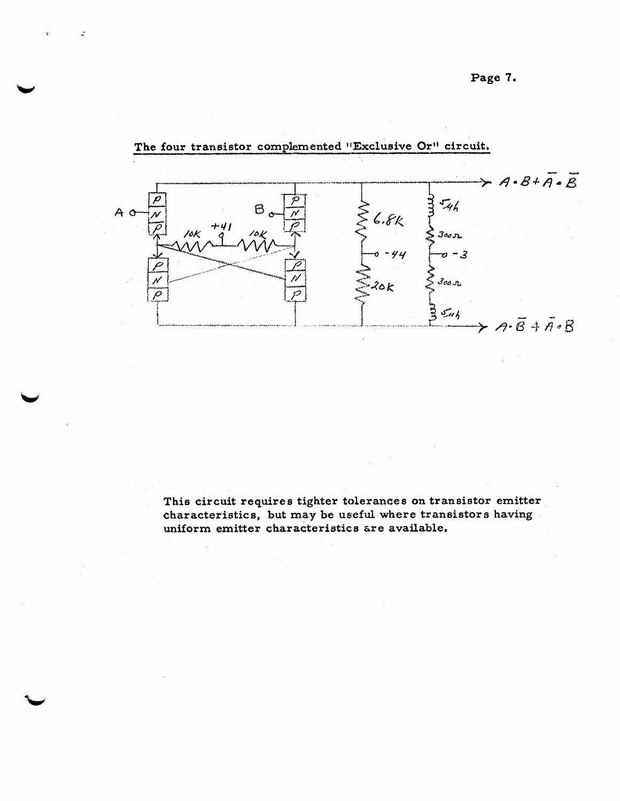**Page 7,** 



## **The four transistor complemented Wxclusive Or" circuit.**

**This circuit requires tighter tolerances on transistor emitter**  characteristics, but may be useful where transistors having **uniform emitter characteristics &reavailable,**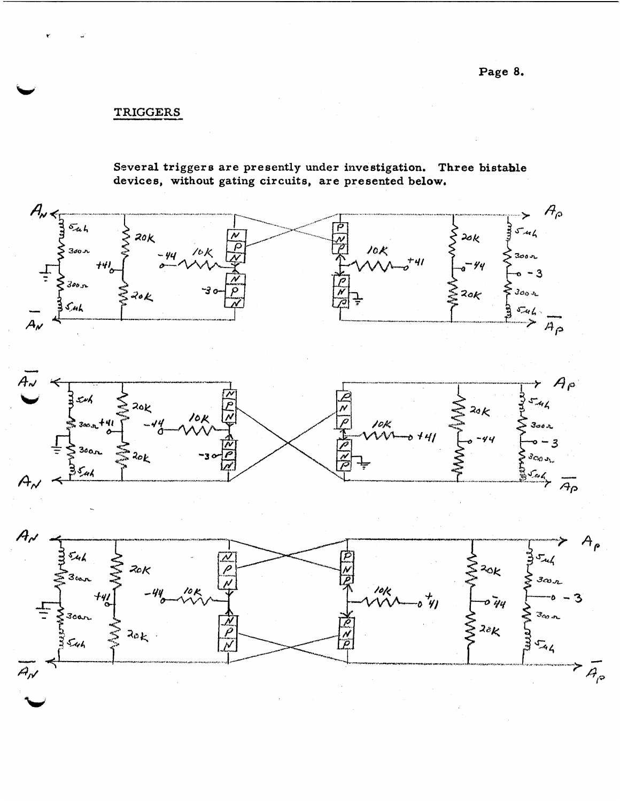$TRIGGERS$ 

**Several trigger <sup>13</sup>are presently under investigation. Three bistable devices, without gating circuits, arc presented below,** 





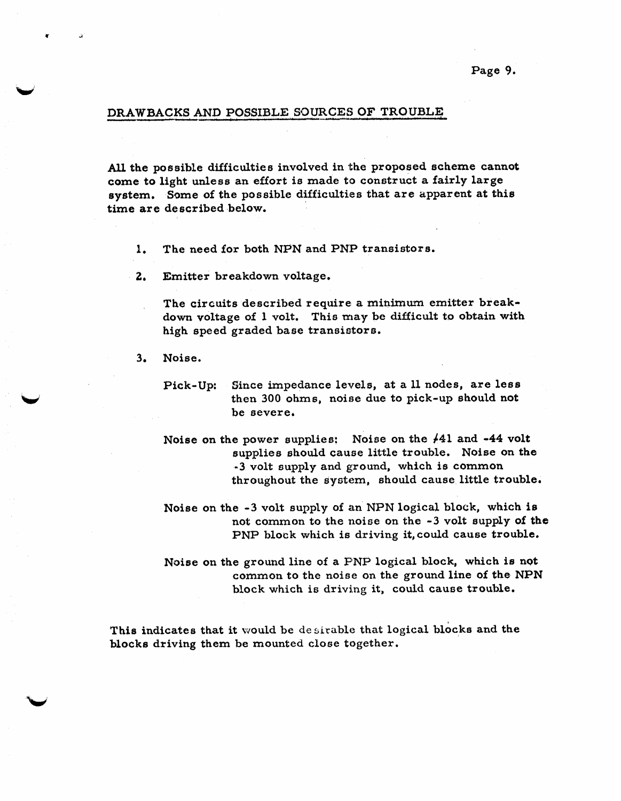**Page** *9.* 

#### **DRAWBACKS AND POSSIBLE SOURCES OF TROUBLE**

*AU,* **the poasible difficulties involved in the proposed scheme cannot come to light unless an effort is made to construct a fairly large system. Same of the pasafble difficulties that are apparent at this time are described below,** 

- **1. The need for both NPN and PNP transistors.**
- **2, Emitter breakdown voltage,**

The circuits described require a minimum emitter break**down voltage of I volt. This miay be difficult** *to* **obtain with high speed graded base transiatore.** 

**3. Noise,** 

**Pick-Up: Since impedance levels, at a 11 nodes, are less then 300 ohms, noise due to pick-up should not**  be severe.

Noise on the power supplies: Noise on the  $/41$  and  $-44$  volt **supplies should cause little trouble. Noise on the -3 volt supply and ground, which is common throughout the syctemr should cause little trouble.** 

- **Noise on the -3 volt supply of an NPN logical block, which is**  not common to the noise on the -3 volt supply of the **PNP block which is driving it,could cause trouble,**
- **Noise on the ground line of a** PNP **logical block, which is not common to the noiae on the ground line of the NPN block which is driving it, could cause trouble.**

This indicates that it would be desirable that logical blocks and the **blacks driving them be mounted cloae together.**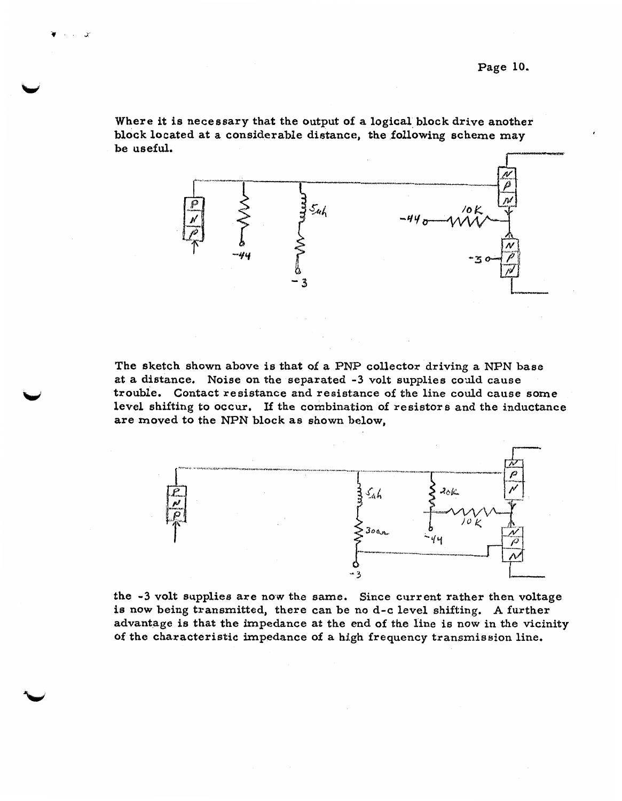Where it **is** necessary that the output **of:a** logical **block** drive **another block located** at **a** considerable distance, the **following** scheme **may be** useful.

![](_page_10_Figure_2.jpeg)

**The sketch shown** above **is** that **of a** PNP collector **driving a** NPN **base at a distance.** Noise on the separated -3 **volt** supplies **codd** cawe trouble, Contact reaistance **and** resistance of *the* line **could cause some level** shifting **to** occur. If **the** combination of resistore **and** the inductance are **moved to** the **NPN block as** shown **below,** 

![](_page_10_Figure_4.jpeg)

the -3 volt supplies **are** now the **same. Since** current **rather** then **voltage is** now being transmitted, there **can be** no **d-c** level shifting. A further advantage **ie** that the impedance **at** the **end** of the **line is now** in **the** vicinity **of** the **characteristic** impedance **of a high** frequency transmiasion line.